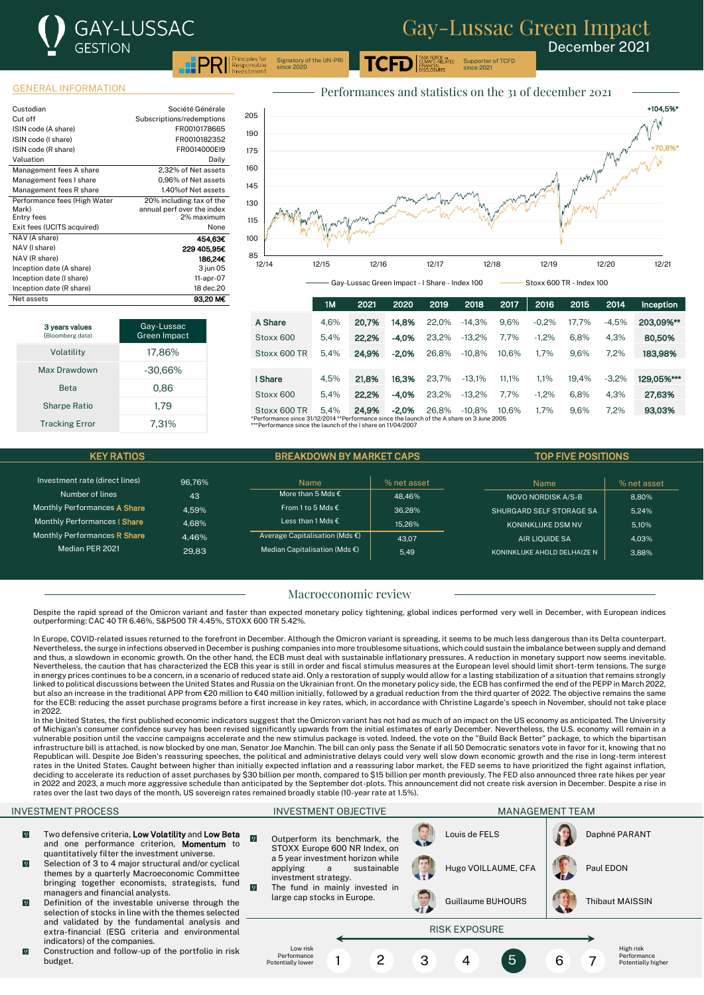Supporter of TCFD since 2021

December 2021

GENERAL INFORMATION

| Custodian                    | Société Générale           |
|------------------------------|----------------------------|
| Cut off                      | Subscriptions/redemptions  |
| ISIN code (A share)          | FR0010178665               |
| ISIN code (I share)          | FR0010182352               |
| ISIN code (R share)          | FR0014000EI9               |
| Valuation                    | Daily                      |
| Management fees A share      | 2.32% of Net assets        |
| Management fees I share      | 0.96% of Net assets        |
| Management fees R share      | 1.40% of Net assets        |
| Performance fees (High Water | 20% including tax of the   |
| Mark)                        | annual perf over the index |
| Entry fees                   | 2% maximum                 |
| Exit fees (UCITS acquired)   | None                       |
| NAV (A share)                | 454,63€                    |
| NAV (I share)                | 229 405.95€                |
| NAV (R share)                | 186,24€                    |
| Inception date (A share)     | 3 jun 05                   |
| Inception date (I share)     | 11-apr-07                  |
| Inception date (R share)     | 18 dec.20                  |
| Net assets                   | 93,20 M€                   |



.<br>ASK FORCE o<mark>n</mark><br>CLIMATE-RELATED

Gay-Lussac Green Impact - I Share - Index 100 Stoxx 600 TR - Index 100

|                                                                                                                                                                    | 1M   | 2021  | 2020    | 2019  | 2018     | 2017  | 2016    | 2015  | 2014    | Inception  |
|--------------------------------------------------------------------------------------------------------------------------------------------------------------------|------|-------|---------|-------|----------|-------|---------|-------|---------|------------|
| A Share                                                                                                                                                            | 4.6% | 20.7% | 14.8%   | 22.0% | $-14.3%$ | 9.6%  | $-0.2%$ | 17.7% | $-4.5%$ | 203.09%**  |
| Stoxx 600                                                                                                                                                          | 5.4% | 22.2% | $-4.0%$ | 23.2% | $-13.2%$ | 7.7%  | $-1.2%$ | 6.8%  | 4.3%    | 80,50%     |
| Stoxx 600 TR                                                                                                                                                       | 5.4% | 24.9% | $-2.0%$ | 26.8% | $-10.8%$ | 10.6% | 1.7%    | 9.6%  | 7.2%    | 183,98%    |
|                                                                                                                                                                    |      |       |         |       |          |       |         |       |         |            |
| I Share                                                                                                                                                            | 4.5% | 21.8% | 16.3%   | 23.7% | $-13.1%$ | 11.1% | 1.1%    | 19.4% | $-3.2%$ | 129.05%*** |
| Stoxx 600                                                                                                                                                          | 5.4% | 22.2% | $-4.0%$ | 23.2% | $-13.2%$ | 7.7%  | $-1.2%$ | 6.8%  | 4.3%    | 27.63%     |
| Stoxx 600 TR                                                                                                                                                       | 5.4% | 24.9% | $-2.0%$ | 26.8% | $-10.8%$ | 10.6% | 1.7%    | 9.6%  | 7.2%    | 93,03%     |
| *Performance since 31/12/2014 **Performance since the launch of the A share on 3 June 2005<br>$\star\star$ Defermance since the loungh of the Labora on 11/04/2007 |      |       |         |       |          |       |         |       |         |            |

the Lahare on 11/04

Signatory of the UN-PRI since 2020

| <b>KEY RATIOS</b>                   |        | <b>BREAKDOWN BY MARKET CAPS</b>         |             | <b>TOP FIVE POSITIONS</b>    |             |  |  |
|-------------------------------------|--------|-----------------------------------------|-------------|------------------------------|-------------|--|--|
|                                     |        |                                         |             |                              |             |  |  |
| Investment rate (direct lines)      | 96.76% | <b>Name</b>                             | % net asset | Name                         | % net asset |  |  |
| Number of lines                     | 43     | More than 5 Mds $\epsilon$              | 48.46%      | NOVO NORDISK A/S-B           | 8.80%       |  |  |
| Monthly Performances A Share        | 4.59%  | From 1 to 5 Mds $\epsilon$              | 36.28%      | SHURGARD SELF STORAGE SA     | 5.24%       |  |  |
| Monthly Performances   Share        | 4.68%  | Less than 1 Mds €                       | 15.26%      | <b>KONINKLIJKE DSM NV</b>    | 5.10%       |  |  |
| Monthly Performances <b>R Share</b> | 4.46%  | Average Capitalisation (Mds €)          | 43.07       | AIR LIOUIDE SA               | 4.03%       |  |  |
| Median PER 2021                     | 29.83  | Median Capitalisation (Mds $\epsilon$ ) | 5.49        | KONINKLIJKE AHOLD DELHAIZE N | 3.88%       |  |  |
|                                     |        |                                         |             |                              |             |  |  |

# Macroeconomic review

Despite the rapid spread of the Omicron variant and faster than expected monetary policy tightening, global indices performed very well in December, with European indices outperforming: CAC 40 TR 6.46%, S&P500 TR 4.45%, STOXX 600 TR 5.42%.

In Europe, COVID-related issues returned to the forefront in December. Although the Omicron variant is spreading, it seems to be much less dangerous than its Delta counterpart. Nevertheless, the surge in infections observed in December is pushing companies into more troublesome situations, which could sustain the imbalance between supply and demand and thus, a slowdown in economic growth. On the other hand, the ECB must deal with sustainable inflationary pressures. A reduction in monetary support now seems inevitable. Nevertheless, the caution that has characterized the ECB this year is still in order and fiscal stimulus measures at the European level should limit short-term tensions. The surge in energy prices continues to be a concern, in a scenario of reduced state aid. Only a restoration of supply would allow for a lasting stabilization of a situation that remains strongly linked to political discussions between the United States and Russia on the Ukrainian front. On the monetary policy side, the ECB has confirmed the end of the PEPP in March 2022, but also an increase in the traditional APP from €20 million to €40 million initially, followed by a gradual reduction from the third quarter of 2022. The objective remains the same for the ECB: reducing the asset purchase programs before a first increase in key rates, which, in accordance with Christine Lagarde's speech in November, should not take place in 2022.

In the United States, the first published economic indicators suggest that the Omicron variant has not had as much of an impact on the US economy as anticipated. The University of Michigan's consumer confidence survey has been revised significantly upwards from the initial estimates of early December. Nevertheless, the U.S. economy will remain in a vulnerable position until the vaccine campaigns accelerate and the new stimulus package is voted. Indeed, the vote on the "Build Back Better" package, to which the bipartisan infrastructure bill is attached, is now blocked by one man, Senator Joe Manchin. The bill can only pass the Senate if all 50 Democratic senators vote in favor for it, knowing that no Republican will. Despite Joe Biden's reassuring speeches, the political and administrative delays could very well slow down economic growth and the rise in long-term interest rates in the United States. Caught between higher than initially expected inflation and a reassuring labor market, the FED seems to have prioritized the fight against inflation, deciding to accelerate its reduction of asset purchases by \$30 billion per month, compared to \$15 billion per month previously. The FED also announced three rate hikes per year<br>in 2022 and 2023, a much more aggressive sche rates over the last two days of the month, US sovereign rates remained broadly stable (10-year rate at 1.5%).

- $\Omega$ Two defensive criteria, Low Volatility and Low Beta  $\sqrt{9}$ and one performance criterion, Momentum to quantitatively filter the investment universe.
- $\overline{0}$ Selection of 3 to 4 major structural and/or cyclical themes by a quarterly Macroeconomic Committee bringing together economists, strategists, fund managers and financial analysts.

 $\overline{0}$ 

- $\overline{v}$ Definition of the investable universe through the selection of stocks in line with the themes selected and validated by the fundamental analysis and extra-financial (ESG criteria and environmental indicators) of the companies.
- $\boldsymbol{\varrho}$ Construction and follow-up of the portfolio in risk budget.

INVESTMENT PROCESS INVESTMENT OBJECTIVE MANAGEMENT TEAM Outperform its benchmark, the STOXX Europe 600 NR Index, on a 5 year investment horizon while applying a sustainable investment strategy. The fund in mainly invested in large cap stocks in Europe. Louis de FELS **Daphné PARANT** Hugo VOILLAUME, CFA | Paul EDON Guillaume BUHOURS | Thibaut MAISSIN RISK EXPOSURE Low risk Performance Potentially lower High risk Performance

1 2 3 4 5 6 7

Potentially higher

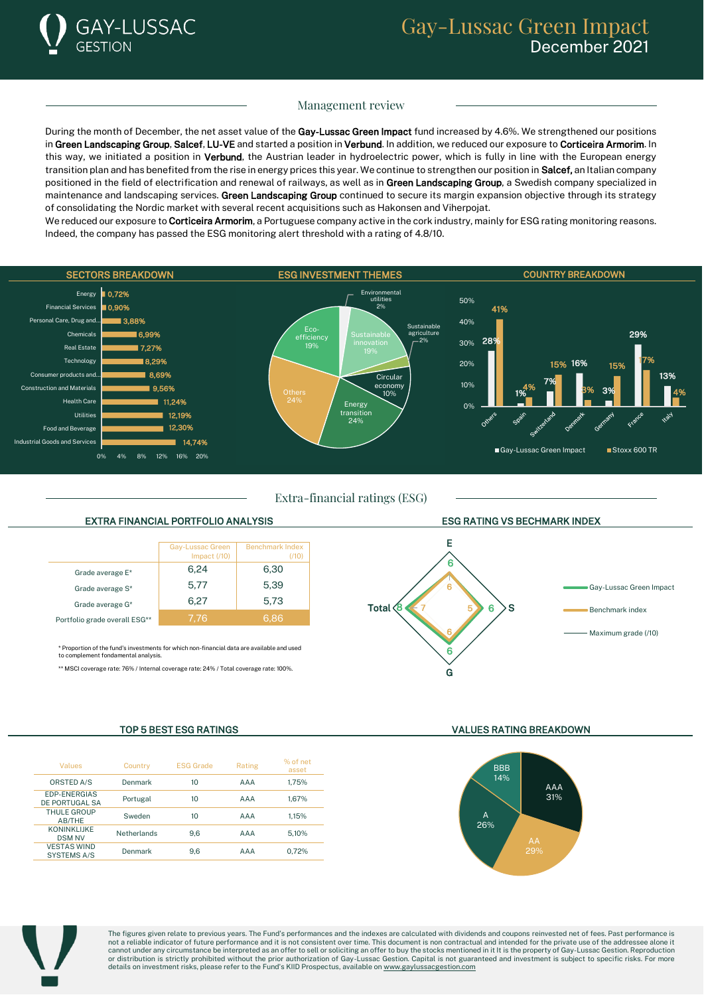

## Management review

During the month of December, the net asset value of the Gay-Lussac Green Impact fund increased by 4.6%. We strengthened our positions in Green Landscaping Group, Salcef, LU-VE and started a position in Verbund. In addition, we reduced our exposure to Corticeira Armorim. In this way, we initiated a position in Verbund, the Austrian leader in hydroelectric power, which is fully in line with the European energy transition plan and has benefited from the rise in energy prices this year. We continue to strengthen our position in Salcef, an Italian company positioned in the field of electrification and renewal of railways, as well as in Green Landscaping Group, a Swedish company specialized in maintenance and landscaping services. Green Landscaping Group continued to secure its margin expansion objective through its strategy of consolidating the Nordic market with several recent acquisitions such as Hakonsen and Viherpojat.

We reduced our exposure to Corticeira Armorim, a Portuguese company active in the cork industry, mainly for ESG rating monitoring reasons. Indeed, the company has passed the ESG monitoring alert threshold with a rating of 4.8/10.



Extra-financial ratings (ESG)

### EXTRA FINANCIAL PORTFOLIO ANALYSIS ESG RATING VS BECHMARK INDEX



\* Proportion of the fund's investments for which non-financial data are available and used ent fondamental analysis

\*\* MSCI coverage rate: 76% / Internal coverage rate: 24% / Total coverage rate: 100%.



| Values                                   | Country            | <b>ESG Grade</b> | Rating | % of net<br>asset |
|------------------------------------------|--------------------|------------------|--------|-------------------|
| ORSTED A/S                               | Denmark            | 10               | AAA    | 1.75%             |
| <b>EDP-ENERGIAS</b><br>DE PORTUGAL SA    | Portugal           | 10               | AAA    | 1.67%             |
| THULE GROUP<br>AB/THE                    | Sweden             | 10               | AAA    | 1.15%             |
| KONINKI IIKF<br><b>DSM NV</b>            | <b>Netherlands</b> | 9.6              | AAA    | 5.10%             |
| <b>VESTAS WIND</b><br><b>SYSTEMS A/S</b> | Denmark            | 9.6              | AAA    | 0.72%             |

TOP 5 BEST ESG RATINGS VALUES RATING BREAKDOWN





The figures given relate to previous years. The Fund's performances and the indexes are calculated with dividends and coupons reinvested net of fees. Past performance is<br>not a reliable indicator of future performance and i cannot under any circumstance be interpreted as an offer to sell or soliciting an offer to buy the stocks mentioned in it It is the property of Gay-Lussac Gestion. Reproduction<br>or distribution is strictly prohibited withou details on investment risks, please refer to the Fund's KIID Prospectus, available o[n www.gaylussacgestion.com](http://www.gaylussacgestion.com/)